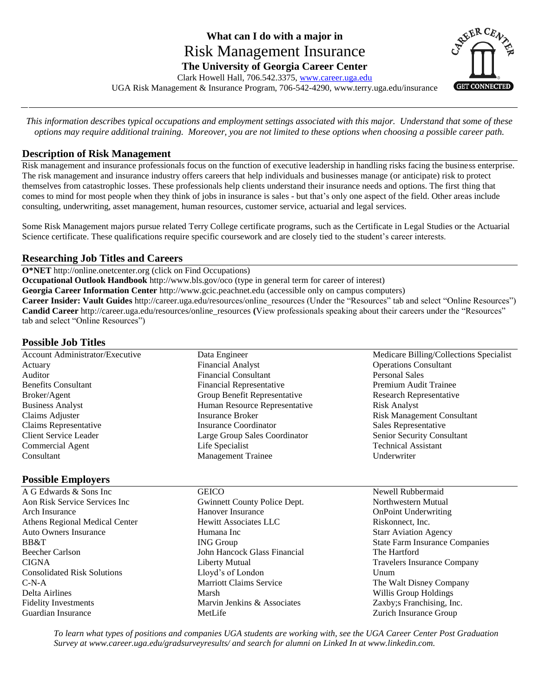# **What can I do with a major in**  Risk Management Insurance **The University of Georgia Career Center** Clark Howell Hall, 706.542.3375[, www.career.uga.edu](http://www.career.uga.edu/)



UGA Risk Management & Insurance Program, 706-542-4290, www.terry.uga.edu/insurance

*This information describes typical occupations and employment settings associated with this major. Understand that some of these options may require additional training. Moreover, you are not limited to these options when choosing a possible career path.*

## **Description of Risk Management**

Risk management and insurance professionals focus on the function of executive leadership in handling risks facing the business enterprise. The risk management and insurance industry offers careers that help individuals and businesses manage (or anticipate) risk to protect themselves from catastrophic losses. These professionals help clients understand their insurance needs and options. The first thing that comes to mind for most people when they think of jobs in insurance is sales - but that's only one aspect of the field. Other areas include consulting, underwriting, asset management, human resources, customer service, actuarial and legal services.

Some Risk Management majors pursue related Terry College certificate programs, such as the Certificate in Legal Studies or the Actuarial Science certificate. These qualifications require specific coursework and are closely tied to the student's career interests.

## **Researching Job Titles and Careers**

**O\*NET** http://online.onetcenter.org (click on Find Occupations)

**Occupational Outlook Handbook** http://www.bls.gov/oco (type in general term for career of interest)

**Georgia Career Information Center** http://www.gcic.peachnet.edu (accessible only on campus computers)

Career Insider: Vault Guides http://career.uga.edu/resources/online\_resources (Under the "Resources" tab and select "Online Resources") **Candid Career** http://career.uga.edu/resources/online\_resources (View professionals speaking about their careers under the "Resources" tab and select "Online Resources")

## **Possible Job Titles**

| Account Administrator/Executive | Data Engineer                 | Medicare Billing/Collections Specialist |
|---------------------------------|-------------------------------|-----------------------------------------|
| Actuary                         | <b>Financial Analyst</b>      | <b>Operations Consultant</b>            |
| Auditor                         | <b>Financial Consultant</b>   | <b>Personal Sales</b>                   |
| <b>Benefits Consultant</b>      | Financial Representative      | Premium Audit Trainee                   |
| Broker/Agent                    | Group Benefit Representative  | Research Representative                 |
| <b>Business Analyst</b>         | Human Resource Representative | <b>Risk Analyst</b>                     |
| Claims Adjuster                 | <b>Insurance Broker</b>       | <b>Risk Management Consultant</b>       |
| Claims Representative           | Insurance Coordinator         | Sales Representative                    |
| Client Service Leader           | Large Group Sales Coordinator | Senior Security Consultant              |
| <b>Commercial Agent</b>         | Life Specialist               | <b>Technical Assistant</b>              |
| Consultant                      | <b>Management Trainee</b>     | Underwriter                             |

### **Possible Employers**

- A G Edwards & Sons Inc Aon Risk Service Services Inc Arch Insurance Athens Regional Medical Center Auto Owners Insurance BB&T Beecher Carlson CIGNA Consolidated Risk Solutions C-N-A Delta Airlines Fidelity Investments Guardian Insurance
- **GEICO** Gwinnett County Police Dept. Hanover Insurance Hewitt Associates LLC Humana Inc ING Group John Hancock Glass Financial Liberty Mutual Lloyd's of London Marriott Claims Service Marsh Marvin Jenkins & Associates MetLife
- 
- Newell Rubbermaid Northwestern Mutual OnPoint Underwriting Riskonnect, Inc. Starr Aviation Agency State Farm Insurance Companies The Hartford Travelers Insurance Company Unum The Walt Disney Company Willis Group Holdings Zaxby;s Franchising, Inc. Zurich Insurance Group

*To learn what types of positions and companies UGA students are working with, see the UGA Career Center Post Graduation Survey at www.career.uga.edu/gradsurveyresults/ and search for alumni on Linked In at www.linkedin.com.*